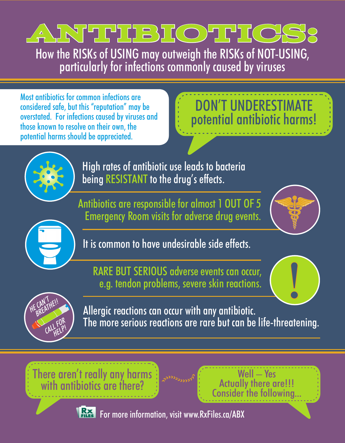

How the RISKs of USING may outweigh the RISKs of NOT-USING, particularly for infections commonly caused by viruses

Most antibiotics for common infections are considered safe, but this "reputation" may be overstated. For infections caused by viruses and those known to resolve on their own, the potential harms should be appreciated.

# DON'T UNDERESTIMATE potential antibiotic harms!



High rates of antibiotic use leads to bacteria being RESISTANT to the drug's effects.

Antibiotics are responsible for almost 1 OUT OF 5 Emergency Room visits for adverse drug events.





It is common to have undesirable side effects.

RARE BUT SERIOUS adverse events can occur, e.g. tendon problems, severe skin reactions.





Allergic reactions can occur with any antibiotic. The more serious reactions are rare but can be life-threatening.

There aren't really any harms with antibiotics are there?







**RXX** For more information, visit www.RxFiles.ca/ABX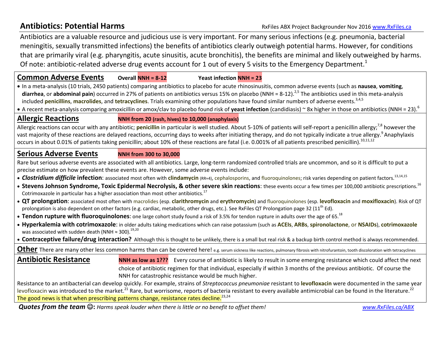Antibiotics are a valuable resource and judicious use is very important. For many serious infections (e.g. pneumonia, bacterial meningitis, sexually transmitted infections) the benefits of antibiotics clearly outweigh potential harms. However, for conditions that are primarily viral (e.g. pharyngitis, acute sinusitis, acute bronchitis), the benefits are minimal and likely outweighed by harms. Of note: antibiotic-related adverse drug events account for 1 out of every 5 visits to the Emergency Department.<sup>1</sup>

### **Common Adverse EventsOverall NNH = 8-12 Yeast infection NNH = 23**

 In a meta-analysis (10 trials, 2450 patients) comparing antibiotics to placebo for acute rhinosinusitis, common adverse events (such as **nausea**, **vomiting**, diarrhea, or abdominal pain) occurred in 27% of patients on antibiotics versus 15% on placebo (NNH = 8-12).<sup>2,5</sup> The antibiotics used in this meta-analysis included **penicillins**, macrolides, and tetracyclines. Trials examining other populations have found similar numbers of adverse events.<sup>3,4,5</sup>

A recent meta-analysis comparing amoxicillin or amox/clav to placebo found risk of **yeast infection** (candidiasis) ~ 8x higher in those on antibiotics (NNH = 23).<sup>6</sup>

# **Allergic Reactions NNH from 20 (rash, hives) to 10,000 (anaphylaxis)**

Allergic reactions can occur with any antibiotic; **penicillin** in particular is well studied. About 5-10% of patients will self-report a penicillin allergy;<sup>7,8</sup> however the vast majority of these reactions are delayed reactions, occurring days to weeks after initiating therapy, and do not typically indicate a true allergy.<sup>9</sup> Anaphylaxis occurs in about 0.01% of patients taking penicillin; about 10% of these reactions are fatal (i.e. 0.001% of all patients prescribed penicillin).<sup>10,11,12</sup>

## **Serious Adverse EventsNNH from 300 to 30,000**

Rare but serious adverse events are associated with all antibiotics. Large, long-term randomized controlled trials are uncommon, and so it is difficult to put a precise estimate on how prevalent these events are. However, some adverse events include:

- Clostridium difficile infection: associated most often with clindamycin (RR≈4), cephalosporins, and fluoroquinolones; risk varies depending on patient factors.<sup>13,14,15</sup>
- **Stevens Johnson Syndrome, Toxic Epidermal Necrolysis, & other severe skin reactions**: these events occur a few times per 100,000 antibiotic prescriptions.<sup>16</sup> Cotrimoxazole in particular has a higher association than most other antibiotics.<sup>17</sup>
- **QT prolongation**: associated most often with macrolides (esp. **clarithromycin** and **erythromycin**) and fluoroquinolones (esp. **levofloxacin** and **moxifloxacin**). Risk of QT prolongation is also dependent on other factors (e.g. cardiac, metabolic, other drugs, etc.). See RxFiles QT Prolongation page 32 (11<sup>th</sup> Ed).
- Tendon rupture with fluoroquinolones: one large cohort study found a risk of 3.5% for tendon rupture in adults over the age of 65.<sup>18</sup>
- **Hyperkalemia with cotrimoxazole**: in older adults taking medications which can raise potassium (such as **ACEIs**, **ARBs**, **spironolactone**, or **NSAIDs**), **cotrimoxazole** was associated with sudden death (NNH  $\approx$  300).<sup>19,20</sup>

**Contraceptive failure/drug interaction?** Although this is thought to be unlikely, there is a small but real risk & a backup birth control method is always recommended.

**Other** There are many other less common harms than can be covered here! e.g. serum sickness like reactions, pulmonary fibrosis with nitrofurantoin, tooth discoloration with tetracyclines

**Antibiotic Resistance NNH as low as 1???** Every course of antibiotic is likely to result in some emerging resistance which could affect the next choice of antibiotic regimen for that individual, especially if within 3 months of the previous antibiotic. Of course the NNH for catastrophic resistance would be much higher.

Resistance to an antibacterial can develop quickly. For example, strains of *Streptococcus pneumoniae* resistant to **levofloxacin** were documented in the same year levofloxacin was introduced to the market.<sup>21</sup> Rare, but worrisome, reports of bacteria resistant to every available antimicrobial can be found in the literature.<sup>22</sup> The good news is that when prescribing patterns change, resistance rates decline.<sup>23,24</sup>

*Quotes from the team*  **:** *Harms speak louder when there is little or no benefit to offset them! www.RxFiles.ca/ABX*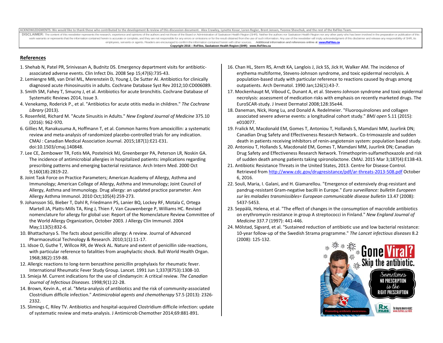ACKNOWLEDGMENTS: We would like to thank those who contributed to the development & review of this discussion document. Alex Crawley, Lynette Kosar, Loren Regier, Brent Jensen, Yyonne Sheychuk, and the rest of the RxFiles T

DISCLAIMER: The content of this newsletter represents the research, experience and opinions of the authors and not those of the Board or Administration of Saskatoon Health Region (SHR). Neither the authors nor Saskatoon He work warrants or represents that the information contained herein is accurate or complete, and they are not responsible for any errors or omissions or for the result obtained from the use of such information. Any use of th employees, servants or agents. Readers are encouraged to confirm the information contained herein with other sources. **Additional information and references online** at **www.RxFiles.ca Copyright 2016 – RxFiles, Saskatoon Health Region (SHR) www.RxFiles.ca**

# **References**

- 1. Shehab N, Patel PR, Srinivasan A, Budnitz DS. Emergency department visits for antibioticassociated adverse events. Clin Infect Dis. 2008 Sep 15;47(6):735-43.
- 2. Lemiengre MB, van Driel ML, Merenstein D, Young J, De Sutter AI. Antibiotics for clinically diagnosed acute rhinosinusitis in adults. Cochrane Database Syst Rev 2012;10:CD006089.
- 3. Smith SM, Fahey T, Smucny J, et al. Antibiotics for acute bronchitis. Cochrane Database of Systematic Reviews 2014, Issue 3.
- 4. Venekamp, Roderick P., et al. "Antibiotics for acute otitis media in children." *The Cochrane Library* (2013).
- 5. Rosenfeld, Richard M. "Acute Sinusitis in Adults." *New England Journal of Medicine* 375.10 (2016): 962-970.
- 6. Gillies M, Ranakusuma A, Hoffmann T, et al. Common harms from amoxicillin: a systematic review and meta-analysis of randomized placebo-controlled trials for any indication. CMAJ : Canadian Medical Association Journal. 2015;187(1):E21-E31. doi:10.1503/cmaj.140848.
- 7. Lee CE, Zembower TR, Fotis MA, Postelnick MJ, Greenberger PA, Peterson LR, Noskin GA. The incidence of antimicrobial allergies in hospitalized patients: implications regarding prescribing patterns and emerging bacterial resistance. Arch Intern Med. 2000 Oct 9;160(18):2819-22.
- 8. Joint Task Force on Practice Parameters; American Academy of Allergy, Asthma and Immunology; American College of Allergy, Asthma and Immunology; Joint Council of Allergy, Asthma and Immunology. Drug allergy: an updated practice parameter. Ann Allergy Asthma Immunol. 2010 Oct;105(4):259-273.
- 9. Johansson SG, Bieber T, Dahl R, Friedmann PS, Lanier BQ, Lockey RF, Motala C, Ortega Martell JA, Platts-Mills TA, Ring J, Thien F, Van Cauwenberge P, Williams HC. Revised nomenclature for allergy for global use: Report of the Nomenclature Review Committee of the World Allergy Organization, October 2003. J Allergy Clin Immunol. 2004 May;113(5):832-6.
- 10. Bhattacharya S. The facts about penicillin allergy: A review. Journal of Advanced Pharmaceutical Technology & Research. 2010;1(1):11-17.
- 11. Idsoe O, Guthe T, Willcox RR, de Weck AL. Nature and extent of penicillin side-reactions, with particular reference to fatalities from anaphylactic shock. Bull World Health Organ. 1968;38(2):159-88.
- 12. Allergic reactions to long-term benzathine penicillin prophylaxis for rheumatic fever. International Rheumatic Fever Study Group. Lancet. 1991 Jun 1;337(8753):1308-10.
- 13. Smieja M. Current indications for the use of clindamycin: A critical review. *The Canadian Journal of Infectious Diseases*. 1998;9(1):22-28.
- 14. Brown, Kevin A., et al. "Meta-analysis of antibiotics and the risk of community-associated Clostridium difficile infection." *Antimicrobial agents and chemotherapy* 57.5 (2013): 2326- 2332.
- 15. Slimings C, Riley TV. Antibiotics and hospital-acquired Clostridium difficile infection: update of systematic review and meta-analysis. J Antimicrob Chemother 2014;69:881-891.
- 16. Chan HL, Stern RS, Arndt KA, Langlois J, Jick SS, Jick H, Walker AM. The incidence of erythema multiforme, Stevens-Johnson syndrome, and toxic epidermal necrolysis. A population-based study with particular reference to reactions caused by drugs among outpatients. Arch Dermatol. 1990 Jan;126(1):43-7.
- 17. Mockenhaupt M, Viboud C, Dunant A, et al. Stevens-Johnson syndrome and toxic epidermal necrolysis: assessment of medication risks with emphasis on recently marketed drugs. The EuroSCAR-study. J Invest Dermatol 2008;128:35e44.
- 18. Daneman, Nick, Hong Lu, and Donald A. Redelmeier. "Fluoroquinolones and collagen associated severe adverse events: a longitudinal cohort study." *BMJ open* 5.11 (2015): e010077.
- 19. Fralick M, Macdonald EM, Gomes T, Antoniou T, Hollands S, Mamdani MM, Juurlink DN; Canadian Drug Safety and Effectiveness Research Network.. Co-trimoxazole and sudden death in patients receiving inhibitors of renin-angiotensin system: population based study.
- 20. Antoniou T, Hollands S, Macdonald EM, Gomes T, Mamdani MM, Juurlink DN; Canadian Drug Safety and Effectiveness Research Network. Trimethoprim-sulfamethoxazole and risk of sudden death among patients taking spironolactone. CMAJ. 2015 Mar 3;187(4):E138-43.
- 21. Antibiotic Resistance Threats in the United States, 2013. Centre for Disease Control. Retrieved from http://www.cdc.gov/drugresistance/pdf/ar-threats-2013-508.pdf October 6, 2016.
- 22. Souli, Maria, I. Galani, and H. Giamarellou. "Emergence of extensively drug-resistant and pandrug-resistant Gram-negative bacilli in Europe." *Euro surveillance: bulletin Europeen sur les maladies transmissibles= European communicable disease bulletin* 13.47 (2008): 5437-5453.
- 23. Seppälä, Helena, et al. "The effect of changes in the consumption of macrolide antibiotics on erythromycin resistance in group A streptococci in Finland." *New England Journal of Medicine* 337.7 (1997): 441-446.
- 24. Mölstad, Sigvard, et al. "Sustained reduction of antibiotic use and low bacterial resistance: 10-year follow-up of the Swedish Strama programme." *The Lancet infectious diseases* 8.2 (2008): 125-132.